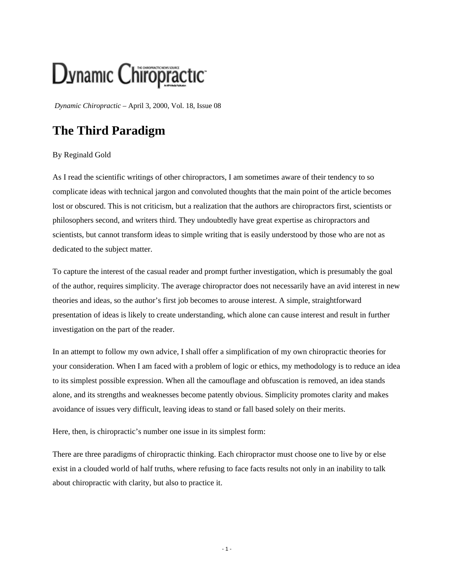## Dynamic Chiropractic

*Dynamic Chiropractic* – April 3, 2000, Vol. 18, Issue 08

## **The Third Paradigm**

## By Reginald Gold

As I read the scientific writings of other chiropractors, I am sometimes aware of their tendency to so complicate ideas with technical jargon and convoluted thoughts that the main point of the article becomes lost or obscured. This is not criticism, but a realization that the authors are chiropractors first, scientists or philosophers second, and writers third. They undoubtedly have great expertise as chiropractors and scientists, but cannot transform ideas to simple writing that is easily understood by those who are not as dedicated to the subject matter.

To capture the interest of the casual reader and prompt further investigation, which is presumably the goal of the author, requires simplicity. The average chiropractor does not necessarily have an avid interest in new theories and ideas, so the author's first job becomes to arouse interest. A simple, straightforward presentation of ideas is likely to create understanding, which alone can cause interest and result in further investigation on the part of the reader.

In an attempt to follow my own advice, I shall offer a simplification of my own chiropractic theories for your consideration. When I am faced with a problem of logic or ethics, my methodology is to reduce an idea to its simplest possible expression. When all the camouflage and obfuscation is removed, an idea stands alone, and its strengths and weaknesses become patently obvious. Simplicity promotes clarity and makes avoidance of issues very difficult, leaving ideas to stand or fall based solely on their merits.

Here, then, is chiropractic's number one issue in its simplest form:

There are three paradigms of chiropractic thinking. Each chiropractor must choose one to live by or else exist in a clouded world of half truths, where refusing to face facts results not only in an inability to talk about chiropractic with clarity, but also to practice it.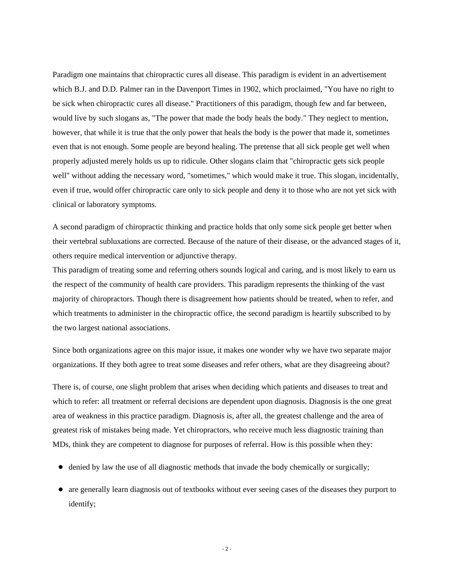Paradigm one maintains that chiropractic cures all disease. This paradigm is evident in an advertisement which B.J. and D.D. Palmer ran in the Davenport Times in 1902, which proclaimed, "You have no right to be sick when chiropractic cures all disease." Practitioners of this paradigm, though few and far between, would live by such slogans as, "The power that made the body heals the body." They neglect to mention, however, that while it is true that the only power that heals the body is the power that made it, sometimes even that is not enough. Some people are beyond healing. The pretense that all sick people get well when properly adjusted merely holds us up to ridicule. Other slogans claim that "chiropractic gets sick people well" without adding the necessary word, "sometimes," which would make it true. This slogan, incidentally, even if true, would offer chiropractic care only to sick people and deny it to those who are not yet sick with clinical or laboratory symptoms.

A second paradigm of chiropractic thinking and practice holds that only some sick people get better when their vertebral subluxations are corrected. Because of the nature of their disease, or the advanced stages of it, others require medical intervention or adjunctive therapy.

This paradigm of treating some and referring others sounds logical and caring, and is most likely to earn us the respect of the community of health care providers. This paradigm represents the thinking of the vast majority of chiropractors. Though there is disagreement how patients should be treated, when to refer, and which treatments to administer in the chiropractic office, the second paradigm is heartily subscribed to by the two largest national associations.

Since both organizations agree on this major issue, it makes one wonder why we have two separate major organizations. If they both agree to treat some diseases and refer others, what are they disagreeing about?

There is, of course, one slight problem that arises when deciding which patients and diseases to treat and which to refer: all treatment or referral decisions are dependent upon diagnosis. Diagnosis is the one great area of weakness in this practice paradigm. Diagnosis is, after all, the greatest challenge and the area of greatest risk of mistakes being made. Yet chiropractors, who receive much less diagnostic training than MDs, think they are competent to diagnose for purposes of referral. How is this possible when they:

- $\bullet$  denied by law the use of all diagnostic methods that invade the body chemically or surgically;
- are generally learn diagnosis out of textbooks without ever seeing cases of the diseases they purport to identify;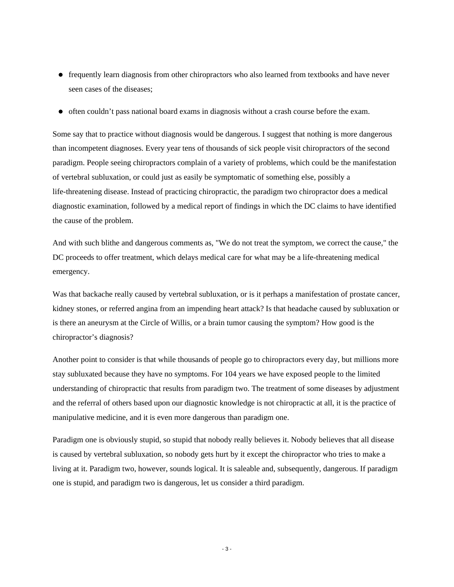- frequently learn diagnosis from other chiropractors who also learned from textbooks and have never seen cases of the diseases;
- $\bullet$  often couldn't pass national board exams in diagnosis without a crash course before the exam.

Some say that to practice without diagnosis would be dangerous. I suggest that nothing is more dangerous than incompetent diagnoses. Every year tens of thousands of sick people visit chiropractors of the second paradigm. People seeing chiropractors complain of a variety of problems, which could be the manifestation of vertebral subluxation, or could just as easily be symptomatic of something else, possibly a life-threatening disease. Instead of practicing chiropractic, the paradigm two chiropractor does a medical diagnostic examination, followed by a medical report of findings in which the DC claims to have identified the cause of the problem.

And with such blithe and dangerous comments as, "We do not treat the symptom, we correct the cause," the DC proceeds to offer treatment, which delays medical care for what may be a life-threatening medical emergency.

Was that backache really caused by vertebral subluxation, or is it perhaps a manifestation of prostate cancer, kidney stones, or referred angina from an impending heart attack? Is that headache caused by subluxation or is there an aneurysm at the Circle of Willis, or a brain tumor causing the symptom? How good is the chiropractor's diagnosis?

Another point to consider is that while thousands of people go to chiropractors every day, but millions more stay subluxated because they have no symptoms. For 104 years we have exposed people to the limited understanding of chiropractic that results from paradigm two. The treatment of some diseases by adjustment and the referral of others based upon our diagnostic knowledge is not chiropractic at all, it is the practice of manipulative medicine, and it is even more dangerous than paradigm one.

Paradigm one is obviously stupid, so stupid that nobody really believes it. Nobody believes that all disease is caused by vertebral subluxation, so nobody gets hurt by it except the chiropractor who tries to make a living at it. Paradigm two, however, sounds logical. It is saleable and, subsequently, dangerous. If paradigm one is stupid, and paradigm two is dangerous, let us consider a third paradigm.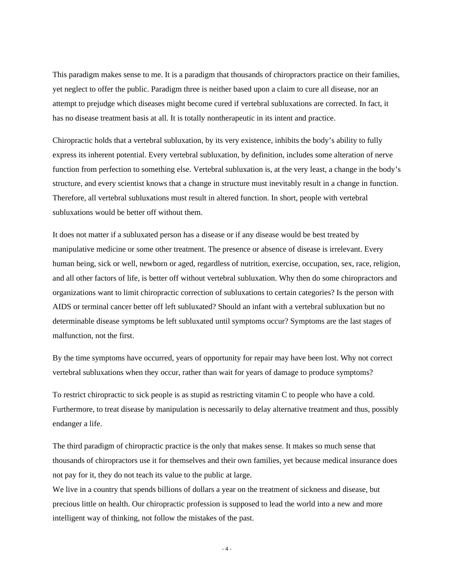This paradigm makes sense to me. It is a paradigm that thousands of chiropractors practice on their families, yet neglect to offer the public. Paradigm three is neither based upon a claim to cure all disease, nor an attempt to prejudge which diseases might become cured if vertebral subluxations are corrected. In fact, it has no disease treatment basis at all. It is totally nontherapeutic in its intent and practice.

Chiropractic holds that a vertebral subluxation, by its very existence, inhibits the body's ability to fully express its inherent potential. Every vertebral subluxation, by definition, includes some alteration of nerve function from perfection to something else. Vertebral subluxation is, at the very least, a change in the body's structure, and every scientist knows that a change in structure must inevitably result in a change in function. Therefore, all vertebral subluxations must result in altered function. In short, people with vertebral subluxations would be better off without them.

It does not matter if a subluxated person has a disease or if any disease would be best treated by manipulative medicine or some other treatment. The presence or absence of disease is irrelevant. Every human being, sick or well, newborn or aged, regardless of nutrition, exercise, occupation, sex, race, religion, and all other factors of life, is better off without vertebral subluxation. Why then do some chiropractors and organizations want to limit chiropractic correction of subluxations to certain categories? Is the person with AIDS or terminal cancer better off left subluxated? Should an infant with a vertebral subluxation but no determinable disease symptoms be left subluxated until symptoms occur? Symptoms are the last stages of malfunction, not the first.

By the time symptoms have occurred, years of opportunity for repair may have been lost. Why not correct vertebral subluxations when they occur, rather than wait for years of damage to produce symptoms?

To restrict chiropractic to sick people is as stupid as restricting vitamin C to people who have a cold. Furthermore, to treat disease by manipulation is necessarily to delay alternative treatment and thus, possibly endanger a life.

The third paradigm of chiropractic practice is the only that makes sense. It makes so much sense that thousands of chiropractors use it for themselves and their own families, yet because medical insurance does not pay for it, they do not teach its value to the public at large.

We live in a country that spends billions of dollars a year on the treatment of sickness and disease, but precious little on health. Our chiropractic profession is supposed to lead the world into a new and more intelligent way of thinking, not follow the mistakes of the past.

- 4 -